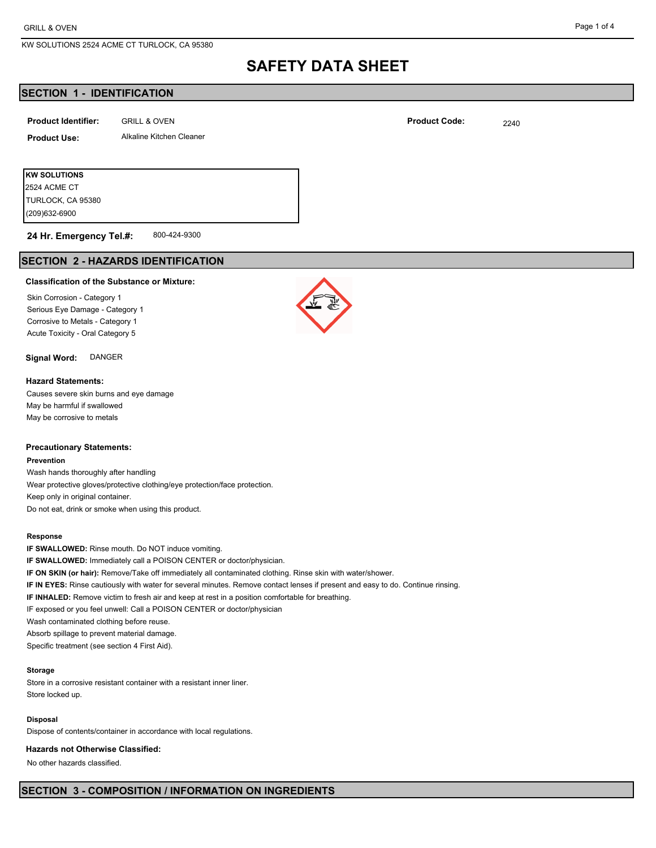# **SAFETY DATA SHEET**

# **SECTION 1 - IDENTIFICATION**

| <b>Product Identifier:</b> | <b>GRILL &amp; OVEN</b>  | <b>Product Code:</b> | 2240 |
|----------------------------|--------------------------|----------------------|------|
| <b>Product Use:</b>        | Alkaline Kitchen Cleaner |                      |      |
|                            |                          |                      |      |
| <b>KW SOLUTIONS</b>        |                          |                      |      |

(209)632-6900 TURLOCK, CA 95380 2524 ACME CT

800-424-9300 **24 Hr. Emergency Tel.#:**

# **SECTION 2 - HAZARDS IDENTIFICATION**

#### **Classification of the Substance or Mixture:**

Skin Corrosion - Category 1 Serious Eye Damage - Category 1 Corrosive to Metals - Category 1 Acute Toxicity - Oral Category 5

## **Signal Word:** DANGER

#### **Hazard Statements:**

Causes severe skin burns and eye damage May be harmful if swallowed May be corrosive to metals

### **Precautionary Statements:**

#### **Prevention**

Wash hands thoroughly after handling Wear protective gloves/protective clothing/eye protection/face protection. Keep only in original container. Do not eat, drink or smoke when using this product.

#### **Response**

**IF SWALLOWED:** Rinse mouth. Do NOT induce vomiting. **IF SWALLOWED:** Immediately call a POISON CENTER or doctor/physician. **IF ON SKIN (or hair):** Remove/Take off immediately all contaminated clothing. Rinse skin with water/shower. **IF IN EYES:** Rinse cautiously with water for several minutes. Remove contact lenses if present and easy to do. Continue rinsing. **IF INHALED:** Remove victim to fresh air and keep at rest in a position comfortable for breathing. IF exposed or you feel unwell: Call a POISON CENTER or doctor/physician Wash contaminated clothing before reuse. Absorb spillage to prevent material damage.

Specific treatment (see section 4 First Aid).

### **Storage**

Store in a corrosive resistant container with a resistant inner liner. Store locked up.

#### **Disposal**

Dispose of contents/container in accordance with local regulations.

### **Hazards not Otherwise Classified:**

No other hazards classified.



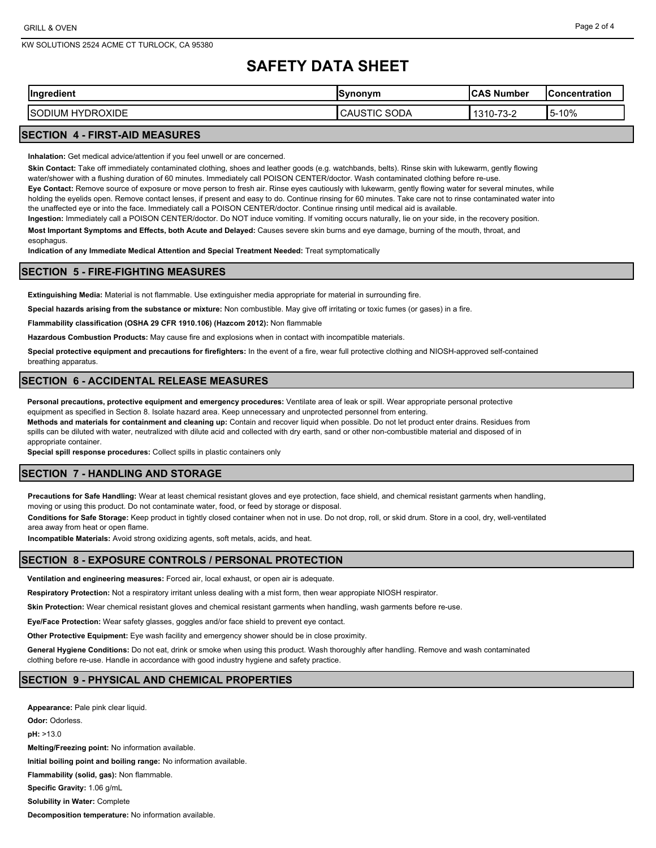#### Page 2 of 4

# **SAFETY DATA SHEET**

| <b>Ingredient</b><br>vuent       | ากทบท<br>7 I I<br>ייייי | $\cdots$<br>Number<br>w                  | Concentration       |
|----------------------------------|-------------------------|------------------------------------------|---------------------|
| <b>/DROXIDE</b><br>HY<br>SC<br>ж | SODA<br>-10<br>⊶∪A∪.    | .70<br>4 0 4<br>$\sqrt{2}$<br>ے-د∵<br>J- | 10%<br>. .<br>I 5-1 |

# **SECTION 4 - FIRST-AID MEASURES**

**Inhalation:** Get medical advice/attention if you feel unwell or are concerned.

**Skin Contact:** Take off immediately contaminated clothing, shoes and leather goods (e.g. watchbands, belts). Rinse skin with lukewarm, gently flowing water/shower with a flushing duration of 60 minutes. Immediately call POISON CENTER/doctor. Wash contaminated clothing before re-use.

**Eye Contact:** Remove source of exposure or move person to fresh air. Rinse eyes cautiously with lukewarm, gently flowing water for several minutes, while holding the eyelids open. Remove contact lenses, if present and easy to do. Continue rinsing for 60 minutes. Take care not to rinse contaminated water into the unaffected eye or into the face. Immediately call a POISON CENTER/doctor. Continue rinsing until medical aid is available.

**Ingestion:** Immediately call a POISON CENTER/doctor. Do NOT induce vomiting. If vomiting occurs naturally, lie on your side, in the recovery position. **Most Important Symptoms and Effects, both Acute and Delayed:** Causes severe skin burns and eye damage, burning of the mouth, throat, and esophagus.

**Indication of any Immediate Medical Attention and Special Treatment Needed:** Treat symptomatically

## **SECTION 5 - FIRE-FIGHTING MEASURES**

**Extinguishing Media:** Material is not flammable. Use extinguisher media appropriate for material in surrounding fire.

**Special hazards arising from the substance or mixture:** Non combustible. May give off irritating or toxic fumes (or gases) in a fire.

**Flammability classification (OSHA 29 CFR 1910.106) (Hazcom 2012):** Non flammable

**Hazardous Combustion Products:** May cause fire and explosions when in contact with incompatible materials.

**Special protective equipment and precautions for firefighters:** In the event of a fire, wear full protective clothing and NIOSH-approved self-contained breathing apparatus.

#### **SECTION 6 - ACCIDENTAL RELEASE MEASURES**

**Personal precautions, protective equipment and emergency procedures:** Ventilate area of leak or spill. Wear appropriate personal protective equipment as specified in Section 8. Isolate hazard area. Keep unnecessary and unprotected personnel from entering.

**Methods and materials for containment and cleaning up:** Contain and recover liquid when possible. Do not let product enter drains. Residues from spills can be diluted with water, neutralized with dilute acid and collected with dry earth, sand or other non-combustible material and disposed of in appropriate container.

**Special spill response procedures:** Collect spills in plastic containers only

## **SECTION 7 - HANDLING AND STORAGE**

**Precautions for Safe Handling:** Wear at least chemical resistant gloves and eye protection, face shield, and chemical resistant garments when handling, moving or using this product. Do not contaminate water, food, or feed by storage or disposal.

**Conditions for Safe Storage:** Keep product in tightly closed container when not in use. Do not drop, roll, or skid drum. Store in a cool, dry, well-ventilated area away from heat or open flame.

**Incompatible Materials:** Avoid strong oxidizing agents, soft metals, acids, and heat.

## **SECTION 8 - EXPOSURE CONTROLS / PERSONAL PROTECTION**

**Ventilation and engineering measures:** Forced air, local exhaust, or open air is adequate.

**Respiratory Protection:** Not a respiratory irritant unless dealing with a mist form, then wear appropiate NIOSH respirator.

**Skin Protection:** Wear chemical resistant gloves and chemical resistant garments when handling, wash garments before re-use.

**Eye/Face Protection:** Wear safety glasses, goggles and/or face shield to prevent eye contact.

**Other Protective Equipment:** Eye wash facility and emergency shower should be in close proximity.

**General Hygiene Conditions:** Do not eat, drink or smoke when using this product. Wash thoroughly after handling. Remove and wash contaminated clothing before re-use. Handle in accordance with good industry hygiene and safety practice.

## **SECTION 9 - PHYSICAL AND CHEMICAL PROPERTIES**

**Appearance:** Pale pink clear liquid. **Odor:** Odorless. **pH:** >13.0 **Melting/Freezing point:** No information available. **Initial boiling point and boiling range:** No information available. **Flammability (solid, gas):** Non flammable. **Specific Gravity:** 1.06 g/mL **Solubility in Water:** Complete

**Decomposition temperature:** No information available.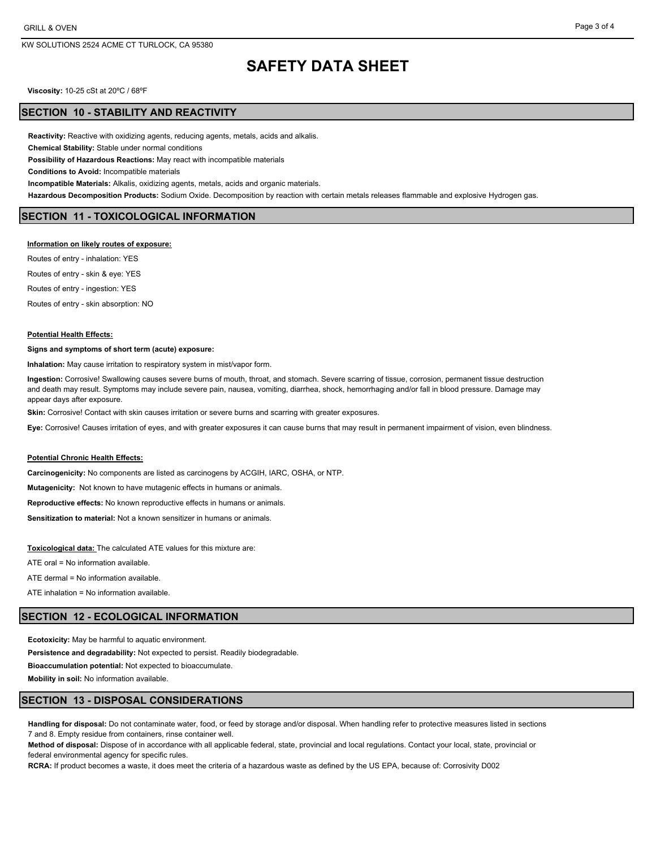# **SAFETY DATA SHEET**

**Viscosity:** 10-25 cSt at 20ºC / 68ºF

#### **SECTION 10 - STABILITY AND REACTIVITY**

**Reactivity:** Reactive with oxidizing agents, reducing agents, metals, acids and alkalis.

**Chemical Stability:** Stable under normal conditions

**Possibility of Hazardous Reactions:** May react with incompatible materials

**Conditions to Avoid:** Incompatible materials

**Incompatible Materials:** Alkalis, oxidizing agents, metals, acids and organic materials.

**Hazardous Decomposition Products:** Sodium Oxide. Decomposition by reaction with certain metals releases flammable and explosive Hydrogen gas.

### **SECTION 11 - TOXICOLOGICAL INFORMATION**

#### **Information on likely routes of exposure:**

Routes of entry - inhalation: YES Routes of entry - skin & eye: YES Routes of entry - ingestion: YES Routes of entry - skin absorption: NO

#### **Potential Health Effects:**

#### **Signs and symptoms of short term (acute) exposure:**

**Inhalation:** May cause irritation to respiratory system in mist/vapor form.

**Ingestion:** Corrosive! Swallowing causes severe burns of mouth, throat, and stomach. Severe scarring of tissue, corrosion, permanent tissue destruction and death may result. Symptoms may include severe pain, nausea, vomiting, diarrhea, shock, hemorrhaging and/or fall in blood pressure. Damage may appear days after exposure.

**Skin:** Corrosive! Contact with skin causes irritation or severe burns and scarring with greater exposures.

**Eye:** Corrosive! Causes irritation of eyes, and with greater exposures it can cause burns that may result in permanent impairment of vision, even blindness.

### **Potential Chronic Health Effects:**

**Carcinogenicity:** No components are listed as carcinogens by ACGIH, IARC, OSHA, or NTP.

**Mutagenicity:** Not known to have mutagenic effects in humans or animals.

**Reproductive effects:** No known reproductive effects in humans or animals.

**Sensitization to material:** Not a known sensitizer in humans or animals.

**Toxicological data:** The calculated ATE values for this mixture are:

ATE oral = No information available.

ATE dermal = No information available.

ATE inhalation = No information available.

## **SECTION 12 - ECOLOGICAL INFORMATION**

**Ecotoxicity:** May be harmful to aquatic environment.

**Persistence and degradability:** Not expected to persist. Readily biodegradable.

**Bioaccumulation potential:** Not expected to bioaccumulate.

**Mobility in soil:** No information available.

### **SECTION 13 - DISPOSAL CONSIDERATIONS**

**Handling for disposal:** Do not contaminate water, food, or feed by storage and/or disposal. When handling refer to protective measures listed in sections 7 and 8. Empty residue from containers, rinse container well.

**Method of disposal:** Dispose of in accordance with all applicable federal, state, provincial and local regulations. Contact your local, state, provincial or federal environmental agency for specific rules.

**RCRA:** If product becomes a waste, it does meet the criteria of a hazardous waste as defined by the US EPA, because of: Corrosivity D002